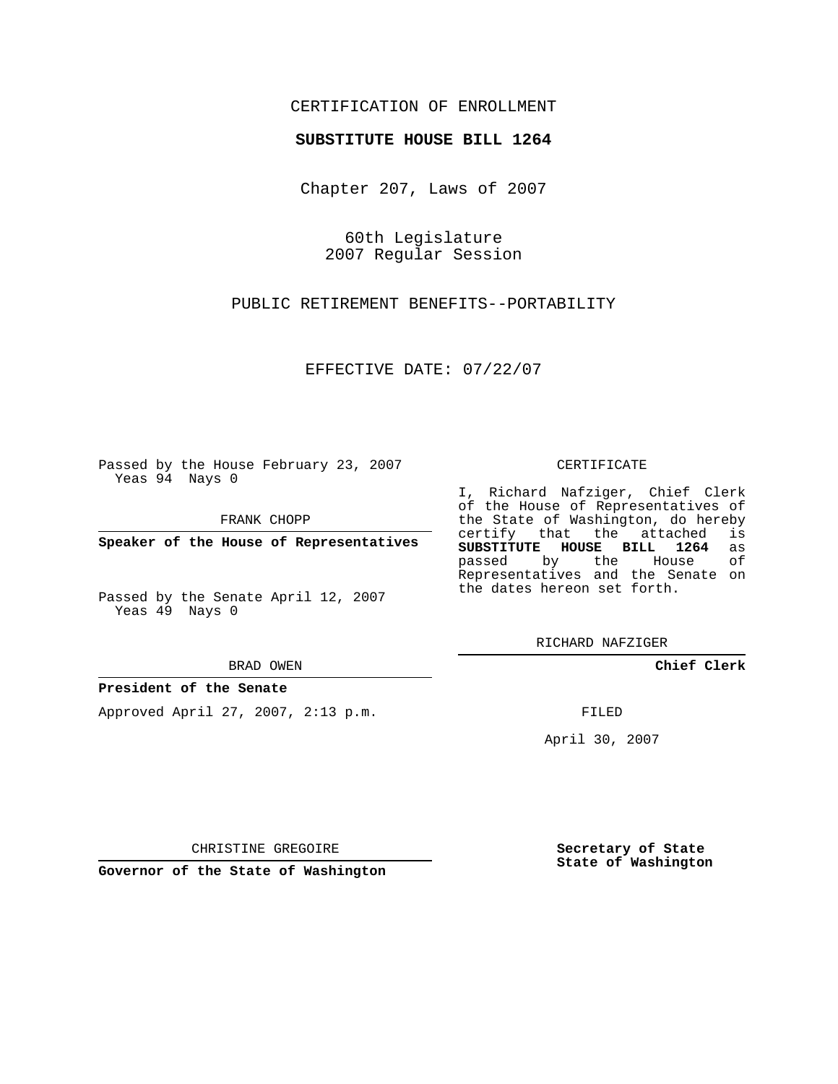## CERTIFICATION OF ENROLLMENT

### **SUBSTITUTE HOUSE BILL 1264**

Chapter 207, Laws of 2007

60th Legislature 2007 Regular Session

PUBLIC RETIREMENT BENEFITS--PORTABILITY

EFFECTIVE DATE: 07/22/07

Passed by the House February 23, 2007 Yeas 94 Nays 0

FRANK CHOPP

**Speaker of the House of Representatives**

Passed by the Senate April 12, 2007 Yeas 49 Nays 0

BRAD OWEN

#### **President of the Senate**

Approved April 27, 2007, 2:13 p.m.

#### CERTIFICATE

I, Richard Nafziger, Chief Clerk of the House of Representatives of the State of Washington, do hereby<br>certify that the attached is certify that the attached **SUBSTITUTE HOUSE BILL 1264** as passed by the House Representatives and the Senate on the dates hereon set forth.

RICHARD NAFZIGER

**Chief Clerk**

FILED

April 30, 2007

CHRISTINE GREGOIRE

**Governor of the State of Washington**

**Secretary of State State of Washington**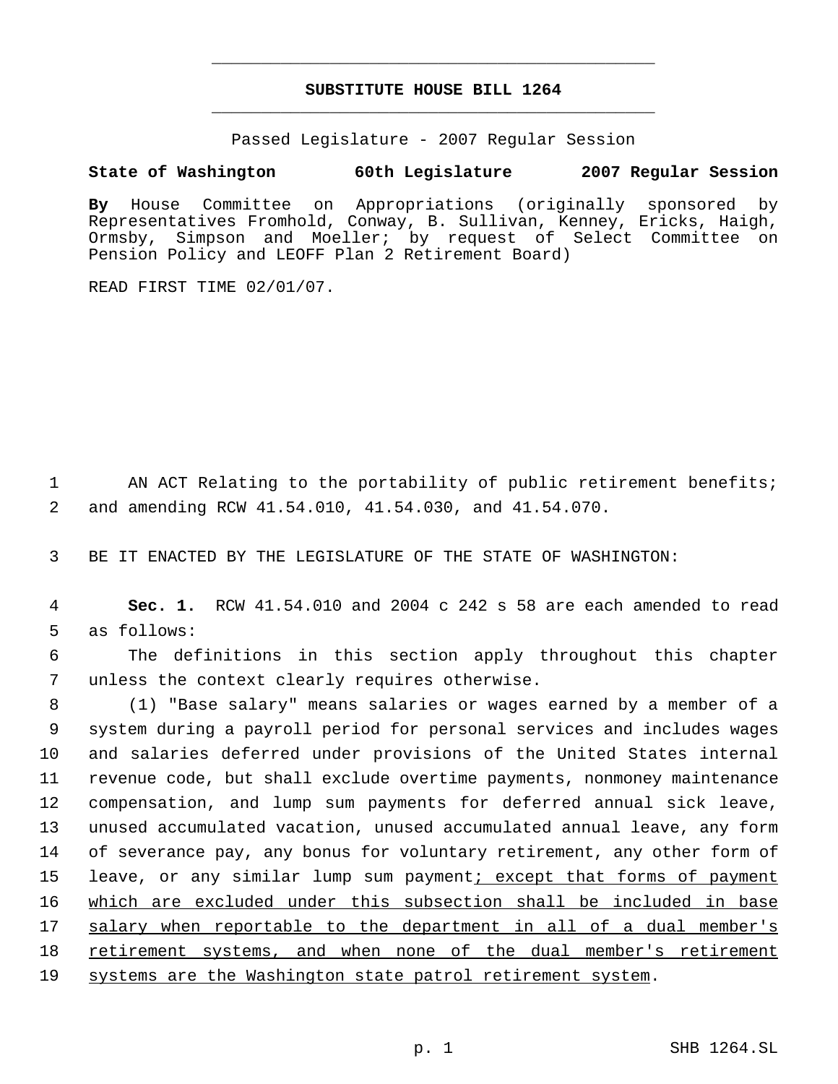# **SUBSTITUTE HOUSE BILL 1264** \_\_\_\_\_\_\_\_\_\_\_\_\_\_\_\_\_\_\_\_\_\_\_\_\_\_\_\_\_\_\_\_\_\_\_\_\_\_\_\_\_\_\_\_\_

\_\_\_\_\_\_\_\_\_\_\_\_\_\_\_\_\_\_\_\_\_\_\_\_\_\_\_\_\_\_\_\_\_\_\_\_\_\_\_\_\_\_\_\_\_

Passed Legislature - 2007 Regular Session

## **State of Washington 60th Legislature 2007 Regular Session**

**By** House Committee on Appropriations (originally sponsored by Representatives Fromhold, Conway, B. Sullivan, Kenney, Ericks, Haigh, Ormsby, Simpson and Moeller; by request of Select Committee on Pension Policy and LEOFF Plan 2 Retirement Board)

READ FIRST TIME 02/01/07.

1 AN ACT Relating to the portability of public retirement benefits; 2 and amending RCW 41.54.010, 41.54.030, and 41.54.070.

3 BE IT ENACTED BY THE LEGISLATURE OF THE STATE OF WASHINGTON:

 4 **Sec. 1.** RCW 41.54.010 and 2004 c 242 s 58 are each amended to read 5 as follows:

 6 The definitions in this section apply throughout this chapter 7 unless the context clearly requires otherwise.

 (1) "Base salary" means salaries or wages earned by a member of a system during a payroll period for personal services and includes wages and salaries deferred under provisions of the United States internal revenue code, but shall exclude overtime payments, nonmoney maintenance compensation, and lump sum payments for deferred annual sick leave, unused accumulated vacation, unused accumulated annual leave, any form of severance pay, any bonus for voluntary retirement, any other form of 15 leave, or any similar lump sum payment<u>; except that forms of payment</u> which are excluded under this subsection shall be included in base salary when reportable to the department in all of a dual member's 18 retirement systems, and when none of the dual member's retirement 19 systems are the Washington state patrol retirement system.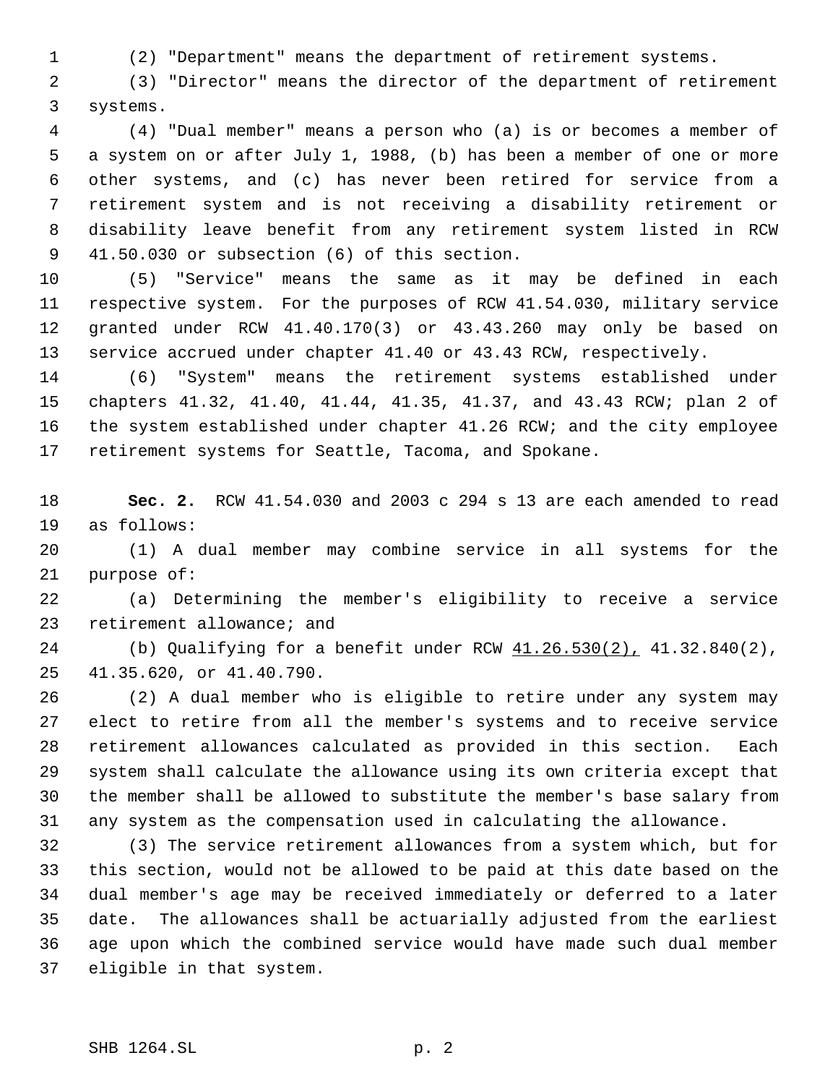(2) "Department" means the department of retirement systems.

 (3) "Director" means the director of the department of retirement systems.

 (4) "Dual member" means a person who (a) is or becomes a member of a system on or after July 1, 1988, (b) has been a member of one or more other systems, and (c) has never been retired for service from a retirement system and is not receiving a disability retirement or disability leave benefit from any retirement system listed in RCW 41.50.030 or subsection (6) of this section.

 (5) "Service" means the same as it may be defined in each respective system. For the purposes of RCW 41.54.030, military service granted under RCW 41.40.170(3) or 43.43.260 may only be based on service accrued under chapter 41.40 or 43.43 RCW, respectively.

 (6) "System" means the retirement systems established under chapters 41.32, 41.40, 41.44, 41.35, 41.37, and 43.43 RCW; plan 2 of the system established under chapter 41.26 RCW; and the city employee retirement systems for Seattle, Tacoma, and Spokane.

 **Sec. 2.** RCW 41.54.030 and 2003 c 294 s 13 are each amended to read as follows:

 (1) A dual member may combine service in all systems for the purpose of:

 (a) Determining the member's eligibility to receive a service retirement allowance; and

 (b) Qualifying for a benefit under RCW 41.26.530(2), 41.32.840(2), 41.35.620, or 41.40.790.

 (2) A dual member who is eligible to retire under any system may elect to retire from all the member's systems and to receive service retirement allowances calculated as provided in this section. Each system shall calculate the allowance using its own criteria except that the member shall be allowed to substitute the member's base salary from any system as the compensation used in calculating the allowance.

 (3) The service retirement allowances from a system which, but for this section, would not be allowed to be paid at this date based on the dual member's age may be received immediately or deferred to a later date. The allowances shall be actuarially adjusted from the earliest age upon which the combined service would have made such dual member eligible in that system.